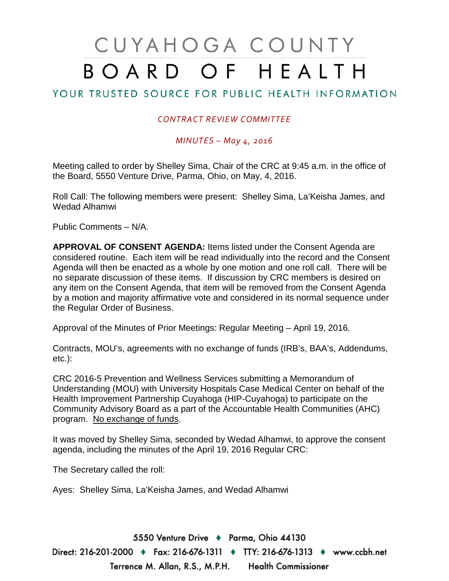# CUYAHOGA COUNTY BOARD OF HEALTH

## YOUR TRUSTED SOURCE FOR PUBLIC HEALTH INFORMATION

#### *CONTRACT REVIEW COMMITTEE*

#### *MINUTES – May 4, 2016*

Meeting called to order by Shelley Sima, Chair of the CRC at 9:45 a.m. in the office of the Board, 5550 Venture Drive, Parma, Ohio, on May, 4, 2016.

Roll Call: The following members were present: Shelley Sima, La'Keisha James, and Wedad Alhamwi

Public Comments – N/A.

**APPROVAL OF CONSENT AGENDA:** Items listed under the Consent Agenda are considered routine. Each item will be read individually into the record and the Consent Agenda will then be enacted as a whole by one motion and one roll call. There will be no separate discussion of these items. If discussion by CRC members is desired on any item on the Consent Agenda, that item will be removed from the Consent Agenda by a motion and majority affirmative vote and considered in its normal sequence under the Regular Order of Business.

Approval of the Minutes of Prior Meetings: Regular Meeting – April 19, 2016.

Contracts, MOU's, agreements with no exchange of funds (IRB's, BAA's, Addendums, etc.):

CRC 2016-5 Prevention and Wellness Services submitting a Memorandum of Understanding (MOU) with University Hospitals Case Medical Center on behalf of the Health Improvement Partnership Cuyahoga (HIP-Cuyahoga) to participate on the Community Advisory Board as a part of the Accountable Health Communities (AHC) program. No exchange of funds.

It was moved by Shelley Sima, seconded by Wedad Alhamwi, to approve the consent agenda, including the minutes of the April 19, 2016 Regular CRC:

The Secretary called the roll:

Ayes: Shelley Sima, La'Keisha James, and Wedad Alhamwi

5550 Venture Drive + Parma, Ohio 44130 Direct: 216-201-2000 ♦ Fax: 216-676-1311 ♦ TTY: 216-676-1313 ♦ www.ccbh.net Terrence M. Allan, R.S., M.P.H. Health Commissioner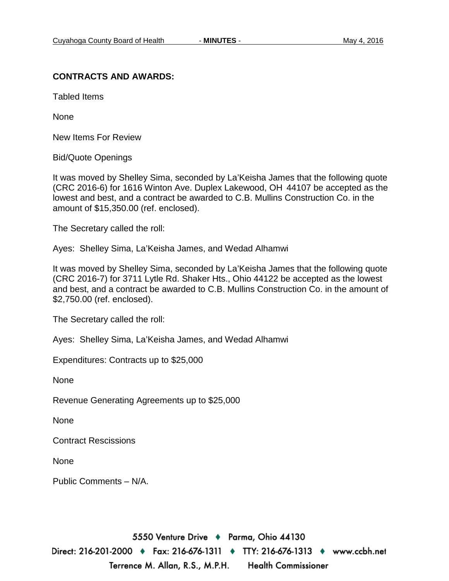#### **CONTRACTS AND AWARDS:**

Tabled Items

None

New Items For Review

Bid/Quote Openings

It was moved by Shelley Sima, seconded by La'Keisha James that the following quote (CRC 2016-6) for 1616 Winton Ave. Duplex Lakewood, OH 44107 be accepted as the lowest and best, and a contract be awarded to C.B. Mullins Construction Co. in the amount of \$15,350.00 (ref. enclosed).

The Secretary called the roll:

Ayes: Shelley Sima, La'Keisha James, and Wedad Alhamwi

It was moved by Shelley Sima, seconded by La'Keisha James that the following quote (CRC 2016-7) for 3711 Lytle Rd. Shaker Hts., Ohio 44122 be accepted as the lowest and best, and a contract be awarded to C.B. Mullins Construction Co. in the amount of \$2,750.00 (ref. enclosed).

The Secretary called the roll:

Ayes: Shelley Sima, La'Keisha James, and Wedad Alhamwi

Expenditures: Contracts up to \$25,000

None

Revenue Generating Agreements up to \$25,000

None

Contract Rescissions

None

Public Comments – N/A.

5550 Venture Drive + Parma, Ohio 44130 Direct: 216-201-2000 ♦ Fax: 216-676-1311 ♦ TTY: 216-676-1313 ♦ www.ccbh.net Terrence M. Allan, R.S., M.P.H. **Health Commissioner**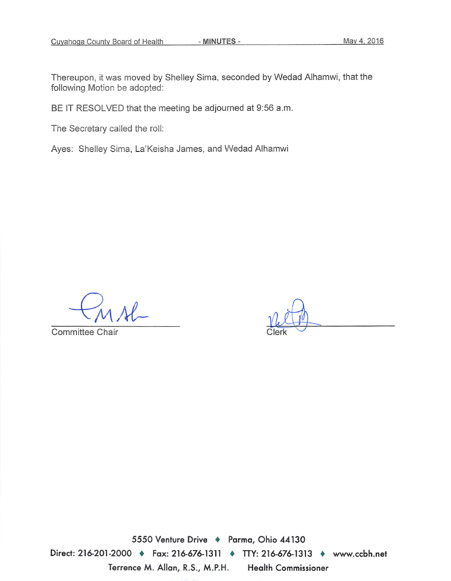- MINUTES -

Thereupon, it was moved by Shelley Sima, seconded by Wedad Alhamwi, that the following Motion be adopted:

BE IT RESOLVED that the meeting be adjourned at 9:56 a.m.

The Secretary called the roll:

Ayes: Shelley Sima, La'Keisha James, and Wedad Alhamwi

Committee Chair

5550 Venture Drive + Parma, Ohio 44130 Direct: 216-201-2000 ♦ Fax: 216-676-1311 ♦ TTY: 216-676-1313 ♦ www.ccbh.net Terrence M. Allan, R.S., M.P.H. **Health Commissioner**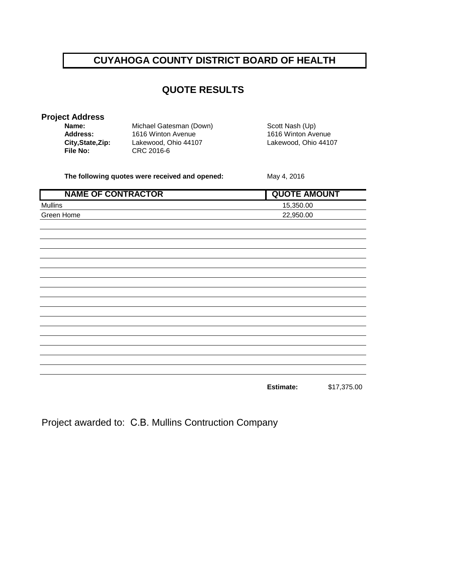# **CUYAHOGA COUNTY DISTRICT BOARD OF HEALTH**

## **QUOTE RESULTS**

#### **Project Address**

| Name:             | Michael Gatesman (Down) | Scott Nash (Up)      |
|-------------------|-------------------------|----------------------|
| Address:          | 1616 Winton Avenue      | 1616 Winton Avenue   |
| City, State, Zip: | Lakewood, Ohio 44107    | Lakewood, Ohio 44107 |
| File No:          | CRC 2016-6              |                      |

**The following quotes were received and opened:** May 4, 2016

| <b>NAME OF CONTRACTOR</b> | <b>QUOTE AMOUNT</b> |             |
|---------------------------|---------------------|-------------|
| <b>Mullins</b>            | 15,350.00           |             |
| Green Home                | 22,950.00           |             |
|                           |                     |             |
|                           |                     |             |
|                           |                     |             |
|                           |                     |             |
|                           |                     |             |
|                           |                     |             |
|                           |                     |             |
|                           |                     |             |
|                           |                     |             |
|                           |                     |             |
|                           |                     |             |
|                           |                     |             |
|                           |                     |             |
|                           |                     |             |
|                           |                     |             |
|                           |                     |             |
|                           | Estimate:           | \$17,375.00 |

Project awarded to: C.B. Mullins Contruction Company